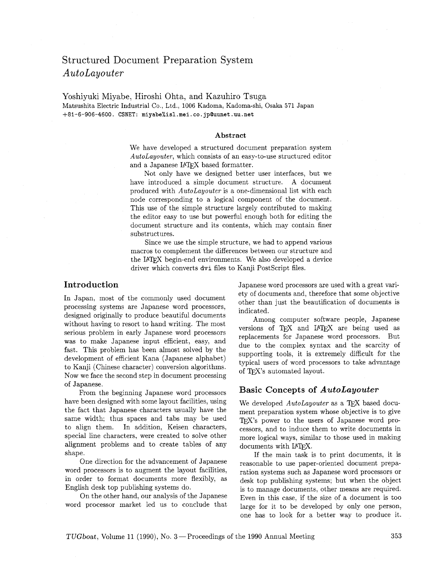# Structured Document Preparation System *AutoLayouter*

Yoshiyuki Miyabe, Hiroshi Ohta, and Kazuhiro Tsuga Matsushita Electric Industrial Co., Ltd., 1006 Kadoma, Kadoma-shi, Osaka 571 Japan **+81-6-906-4600.** CSNET: **miyabe%isl.mei.co.jpOuunet.uu.net** 

#### **Abstract**

We have developed a structured document preparation system AutoLayouter, which consists of an easy-to-use structured editor and a Japanese IATFX based formatter.

Not only have we designed better user interfaces, but we have introduced a simple document structure. A document produced with AutoLayouter is a one-dimensional list with each node corresponding to a logical component of the document. This use of the simple structure largely contributed to making the editor easy to use but powerful enough both for editing the document structure and its contents, which may contain finer substructures.

Since we use the simple structure, we had to append various macros to complement the differences between our structure and the IATFX begin-end environments. We also developed a device driver which converts dvi files to Kanji PostScript files.

# **Introduction**

In Japan, most of the commonly used document processing systems are Japanese word processors, designed originally to produce beautiful documents without having to resort to hand writing. The most serious problem in early Japanese word processors was to make Japanese input efficient, easy, and fast. This problem has been almost solved by the development of efficient Kana (Japanese alphabet) to Kanji (Chinese character) conversion algorithms. Now we face the second step in document processing of Japanese.

From the beginning Japanese word processors have been designed with some layout facilities, using the fact that Japanese characters usually have the same width; thus spaces and tabs may be used to align them. In addition, Keisen characters, special line characters, were created to solve other alignment problems and to create tables of any shape.

One direction for the advancement of Japanese word processors is to augment the layout facilities, in order to format documents more flexibly, as English desk top publishing systems do.

On the other hand, our analysis of the Japanese word processor market led us to conclude that

Japanese word processors are used with a great variety of documents and, therefore that some objective other than just the beautification of documents is indicated.

Among computer software people, Japanese versions of TFX and LATFX are being used as replacements for Japanese word processors. But due to the complex syntax and the scarcity of supporting tools, it is extremely difficult for the typical users of word processors to take advantage of TFX's automated layout.

# **Basic Concepts of** *AutoLayouter*

We developed  $Autolayouter$  as a TFX based document preparation system whose objective is to give TFX's power to the users of Japanese word processors, and to induce them to write documents in more logical ways, similar to those used in making documents with IATFX.

If the main task is to print documents, it is reasonable to use paper-oriented document preparation systems such as Japanese word processors or desk top publishing systems; but when the object is to manage documents, other means are required. Even in this case, if the size of a document is too large for it to be developed by only one person, one has to look for a better way to produce it.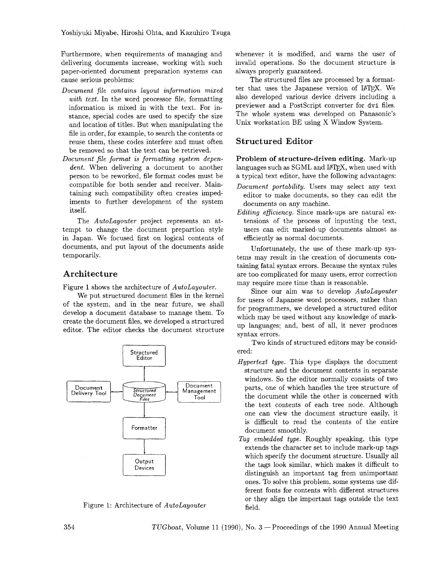Furthermore, when requirements of managing and delivering documents increase, working with such paper-oriented document preparation systems can cause serious problems:

- *Document file contains layout information mixed with text.* In the word processor file, formatting information is mixed in with the text. For instance, special codes are used to specify the size and location of titles. But when manipulating the file in order, for example, to search the contents or reuse them, these codes interfere and must often be removed so that the text can be retrieved.
- *Document file format is formatting system dependent.* When delivering a document to another person to be reworked, file format codes must be compatible for both sender and receiver. Maintaining such compatibility often creates impediments to further development of the system itself.

The *AutoLayouter* project represents an attempt to change the document prepartion style in Japan. We focused first on logical contents of documents, and put layout of the documents aside temporarily.

#### **Architecture**

Figure 1 shows the architecture of *AutoLayouter.* 

We put structured document files in the kernel of the system, and in the near future, we shall develop a document database to manage them. To create the document files, we developed a structured editor. The editor checks the document structure





whenever it is modified, and warns the user of invalid operations. So the document structure is always properly guaranteed.

The structured files are processed by a formatter that uses the Japanese version of IATFX. We also developed various device drivers including a previewer and a PostScript converter for dvi files. The whole system was developed on Panasonic's Unix workstation BE using X Window System.

# **Structured Editor**

**Problem of structure-driven editing.** Mark-up languages such as SGML and IATFX, when used with a typical text editor, have the following advantages:

- *Document portability.* Users may select any text editor to make documents, so they can edit the documents on any machine.
- *Editing efficiency.* Since mark-ups are natural extensions of the process of inputting the text, users can edit marked-up documents almost as efficiently as normal documents.

Unfortunately, the use of these mark-up systems may result in the creation of documents containing fatal syntax errors. Because the syntax rules are too complicated for many users, error correction may require more time than is reasonable.

Since our aim was to develop *AutoLayouter*  for users of Japanese word processors, rather than for programmers, we developed a structured editor which may be used without any knowledge of markup languages; and, best of all, it never produces syntax errors.

Two kinds of structured editors may be considered:

- *Hypertext type.* This type displays the document structure and the document contents in separate windows. So the editor normally consists of two parts, one of which handles the tree structure of the document while the other is concerned with the text contents of each tree node. Although one can view the document structure easily, it is difficult to read the contents of the entire document smoothly.
- *Tag embedded type.* Roughly speaking, this type extends the character set to include mark-up tags which specify the document structure. Usually all the tags look similar, which makes it difficult to distinguish an important tag from unimportant ones. To solve this problem, some systems use different fonts for contents with different structures or they align the important tags outside the text field.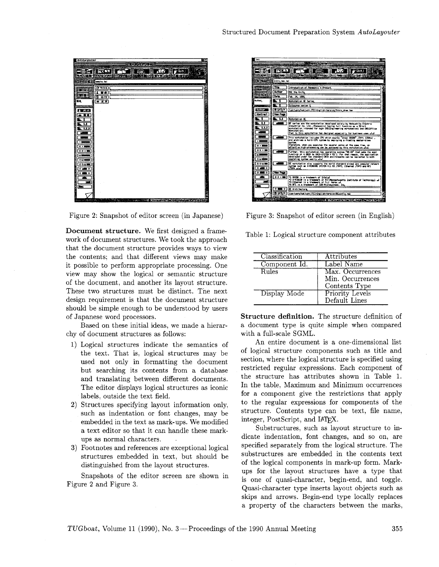

Figure 2: Snapshot of editor screen (in Japanese)

**Document structure.** We first designed a framework of document structures. We took the approach that the document structure provides ways to view the contents; and that different views may make it possible to perform appropriate processing. One view may show the logical or semantic structure of the document, and another its layout structure. These two structures must be distinct. Tne next design requirement is that the document structure should be simple enough to be understood by users of Japanese word processors.

Based on these initial ideas, we made a hierarchy of document structures as follows:

- **1)** Logical structures indicate the semantics of the text. That is, logical structures may be used not only in formatting the document but searching its contents from a database and translating between different documents. The editor displays logical structures as iconic labels, outside the text field.
- **2)** Structures specifying layout information only, such as indentation or font changes, may be embedded in the text as mark-ups. We modified a text editor so that it can handle these markups as normal characters. .
- **3)** Footnotes and references are exceptional logical structures embedded in text, but should be distinguished from the layout structures.

Snapshots of the editor screen are shown in Figure 2 and Figure **3.** 



Figure **3:** Snapshot of editor screen (in English)

|  |  |  |  | Table 1: Logical structure component attributes |  |
|--|--|--|--|-------------------------------------------------|--|
|--|--|--|--|-------------------------------------------------|--|

| Classification | Attributes                                            |
|----------------|-------------------------------------------------------|
| Component Id.  | Label Name                                            |
| Rules          | Max. Occurrences<br>Min. Occurrences<br>Contents Type |
| Display Mode   | Priority Levels<br>Default Lines                      |

**Structure definition.** The structure definition of a document type is quite simple when compared with a full-scale SGML.

An entire document is a one-dimensional list of logical structure components such as title and section, where the logical structure is specified using restricted regular expressions. Each component of the structure has attributes shown in Table **1.**  In the table, Maximum and Minimum occurrences for a component give the restrictions that apply to the regular expressions for components of the structure. Contents type can be text, file name, integer, PostScript, and IATFX.

Substructures, such as layout structure to indicate indentation, font changes, and so on, are specified separately from the logical structure. The substructures are embedded in the contents text of the logical components in mark-up form. Markups for the layout structures have a type that is one of quasi-character, begin-end, and toggle. Quasi-character type inserts layout objects such as skips and arrows. Begin-end type locally replaces a property of the characters between the marks,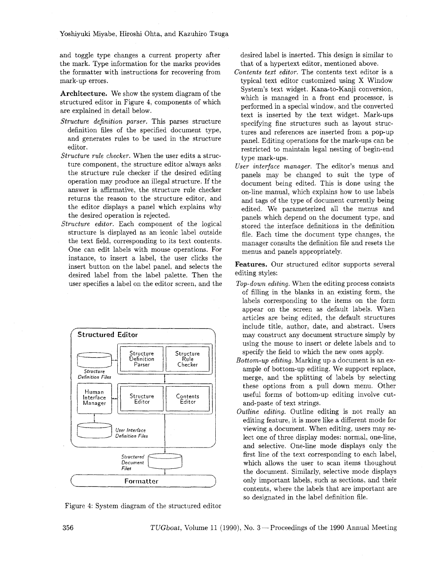and toggle type changes a current property after the mark. Type information for the marks provides the formatter with instructions for recovering from mark-up errors.

**Architecture.** We show the system diagram of the structured editor in Figure 4, components of which are explained in detail below.

- *Structure definition parser.* This parses structure definition files of the specified document type, and generates rules to be used in the structure editor.
- *Structure rule checker.* When the user edits a structure component, the structure editor always asks the structure rule checker if the desired editing operation may produce an illegal structure. If the answer is affirmative, the structure rule checker returns the reason to the structure editor, and the editor displays a panel which explains why the desired operation is rejected.
- *Structure editor.* Each component of the logical structure is displayed as an iconic label outside the text field, corresponding to its text contents. One can edit labels with mouse operations. For instance, to insert a label, the user clicks the insert button on the label panel, and selects the desired label from the label palette. Then the user specifies a label on the editor screen, and the



Figure 4: System diagram of the structured editor

desired label is inserted. This design is similar to that of a hypertext editor, mentioned above.

- *Contents text editor.* The contents text editor is a typical text editor customized using X Window System's text widget. Kana-to-Kanji conversion, which is managed in a front end processor, is performed in a special window, and the converted text is inserted by the text widget. Mark-ups specifying fine structures such as layout structures and references are inserted from a pop-up panel. Editing operations for the mark-ups can be restricted to maintain legal nesting of begin-end type mark-ups.
- *User interface manager.* The editor's menus and panels may be changed to suit the type of document being edited. This is done using the on-line manual, which explains how to use labels and tags of the type of document currently being edited. We parameterized all the menus and panels which depend on the document type, and stored the interface definitions in the definition file. Each time the document type changes, the manager consults the definition file and resets the menus and panels appropriately.

**Features.** Our structured editor supports several editing styles:

- *Top-down editing.* When the editing process consists of filling in the blanks in an existing form, the labels corresponding to the items on the form appear on the screen as default labels. When articles are being edited, the default structures include title, author, date, and abstract. Users may construct any document structure simply by using the mouse to insert or delete labels and to specify the field to which the new ones apply.
- *Bottom-up edzting.* Marking up a document is an example of bottom-up editing. We support replace, merge, and the splitting of labels by selecting these options from a pull down menu. Other useful forms of bottom-up editing involve cutand-paste of text strings.
- *Outline editing.* Outline editing is not really an editing feature, it is more like a different mode for viewing a document. When editing, users may select one of three display modes: normal, one-line, and selective. One-line mode displays only the first line of the text corresponding to each label, which allows the user to scan items thoughout the document. Similarly, selective mode displays only important labels, such as sections, and their contents, where the labels that are important are so designated in the label definition file.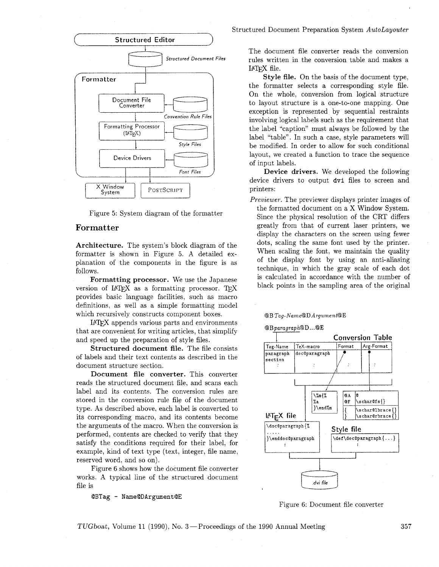

Figure 5: System diagram of the formatter

## **For** matter

Architecture. The system's block diagram of the formatter is shown in Figure *5.* A detailed explanation of the components in the figure is as follows.

Formatting processor. We use the Japanese version of  $IATFX$  as a formatting processor. TFX provides basic language facilities, such as macro definitions, as well as a simple formatting model which recursively constructs component boxes.

I4W appends various parts and environments that are convenient for writing articles, that simplify and speed up the preparation of style files.

Structured document file. The file consists of labels and their text contents as described in the document structure section.

Document file converter. This converter reads the structured document file, and scans each label and its contents. The conversion rules are stored in the conversion rule file of the document type. As described above, each label is converted to its corresponding macro, and its contents become the arguments of the macro. When the conversion is performed, contents are checked to verify that they satisfy the conditions required for their label, for example, kind of text type (text, integer, file name, reserved word, and so on).

Figure 6 shows how the document file converter works. A typical line of the structured document file is

@BTag - Name@DArgument@E

#### Structured Document Preparation System *AutoLayouter*

The document file converter reads the conversion rules written in the conversion table and makes a IATEX file.

Style file. On the basis of the document type, the formatter selects a corresponding style file. On the whole, conversion from logical structure to layout structure is a one-to-one mapping. One exception is represented by sequential restraints involving logical labels such as the requirement that the label "caption" must always be followed by the label "table". In such a case, style parameters will be modified. In order to allow for such conditional layout, we created a function to trace the sequence of input labels.

Device drivers. We developed the following device drivers to output dvi files to screen and printers:

*Preuiewer.* The previewer displays printer images of

the formatted document on a X Window System. Since the physical resolution of the CRT differs greatly from that of current laser printers, we display the characters on the screen using fewer dots, scaling the same font used by the printer. When scaling the font, we maintain the quality of the display font by using an anti-aliasing technique, in which the gray scale of each dot is calculated in accordance with the number of black points in the sampling area of the original

#### @BTag-Name@DArgument@E





Figure 6: Document file converter

TUGboat, Volume 11 (1990), No. **3** -Proceedings of the 1990 Annual Meeting